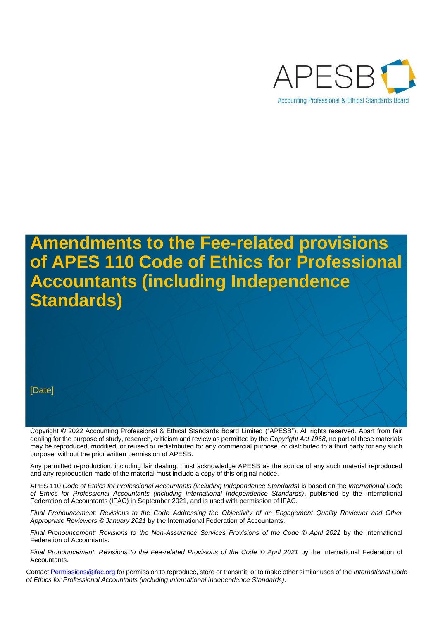

# **Amendments to the Fee-related provisions of APES 110 Code of Ethics for Professional Accountants (including Independence Standards)**

#### [Date]

Copyright © 2022 Accounting Professional & Ethical Standards Board Limited ("APESB"). All rights reserved. Apart from fair dealing for the purpose of study, research, criticism and review as permitted by the *Copyright Act 1968*, no part of these materials may be reproduced, modified, or reused or redistributed for any commercial purpose, or distributed to a third party for any such purpose, without the prior written permission of APESB.

Any permitted reproduction, including fair dealing, must acknowledge APESB as the source of any such material reproduced and any reproduction made of the material must include a copy of this original notice.

APES 110 *Code of Ethics for Professional Accountants (including Independence Standards)* is based on the *International Code of Ethics for Professional Accountants (including International Independence Standards)*, published by the International Federation of Accountants (IFAC) in September 2021, and is used with permission of IFAC.

*Final Pronouncement: Revisions to the Code Addressing the Objectivity of an Engagement Quality Reviewer and Other Appropriate Reviewers © January 2021* by the International Federation of Accountants.

*Final Pronouncement: Revisions to the Non-Assurance Services Provisions of the Code © April 2021* by the International Federation of Accountants.

*Final Pronouncement: Revisions to the Fee-related Provisions of the Code © April 2021* by the International Federation of Accountants.

Contac[t Permissions@ifac.org](mailto:Permissions@ifac.org) for permission to reproduce, store or transmit, or to make other similar uses of the *International Code of Ethics for Professional Accountants (including International Independence Standards)*.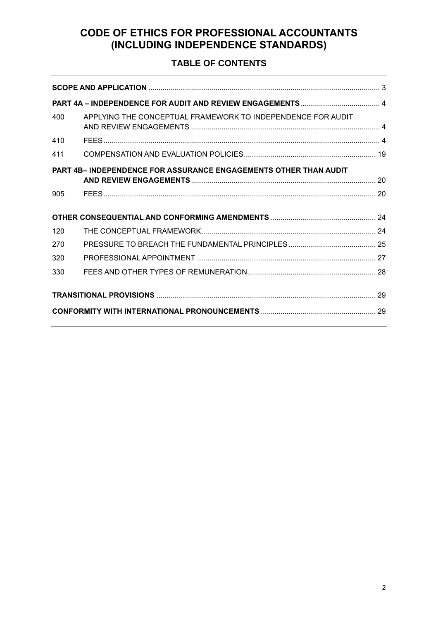# **CODE OF ETHICS FOR PROFESSIONAL ACCOUNTANTS (INCLUDING INDEPENDENCE STANDARDS)**

# **TABLE OF CONTENTS**

| 400                                                                     | APPLYING THE CONCEPTUAL FRAMEWORK TO INDEPENDENCE FOR AUDIT |  |
|-------------------------------------------------------------------------|-------------------------------------------------------------|--|
| 410                                                                     |                                                             |  |
| 411                                                                     |                                                             |  |
| <b>PART 4B- INDEPENDENCE FOR ASSURANCE ENGAGEMENTS OTHER THAN AUDIT</b> |                                                             |  |
|                                                                         |                                                             |  |
| 905                                                                     |                                                             |  |
|                                                                         |                                                             |  |
| 120                                                                     |                                                             |  |
| 270                                                                     |                                                             |  |
| 320                                                                     |                                                             |  |
| 330                                                                     |                                                             |  |
|                                                                         |                                                             |  |
|                                                                         |                                                             |  |
|                                                                         |                                                             |  |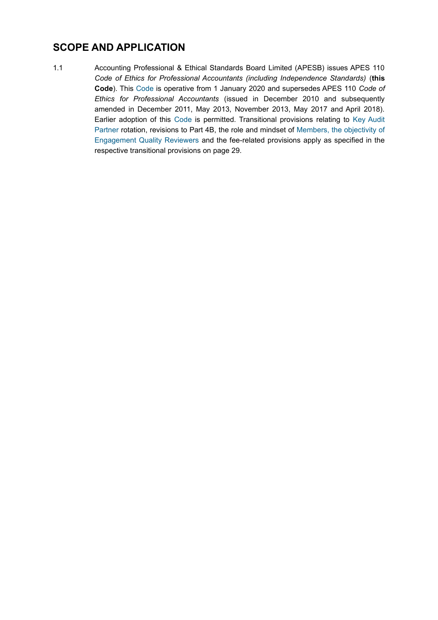# <span id="page-2-0"></span>**SCOPE AND APPLICATION**

1.1 Accounting Professional & Ethical Standards Board Limited (APESB) issues APES 110 *Code of Ethics for Professional Accountants (including Independence Standards)* (**this Code**). This Code is operative from 1 January 2020 and supersedes APES 110 *Code of Ethics for Professional Accountants* (issued in December 2010 and subsequently amended in December 2011, May 2013, November 2013, May 2017 and April 2018). Earlier adoption of this Code is permitted. Transitional provisions relating to Key Audit Partner rotation, revisions to Part 4B, the role and mindset of Members, the objectivity of Engagement Quality Reviewers and the fee-related provisions apply as specified in the respective transitional provisions on page [29.](#page-28-0)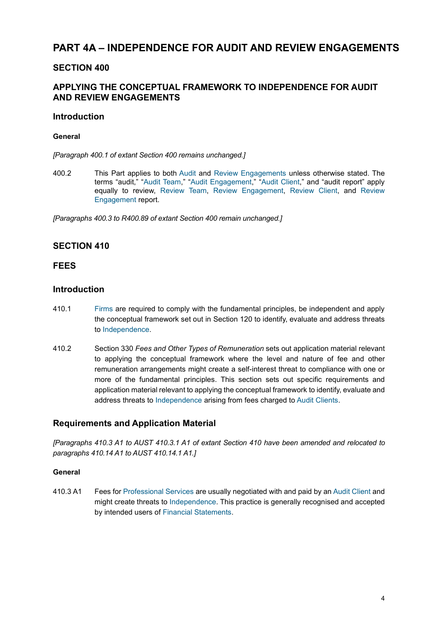# <span id="page-3-0"></span>**PART 4A – INDEPENDENCE FOR AUDIT AND REVIEW ENGAGEMENTS**

# <span id="page-3-1"></span>**SECTION 400**

# **APPLYING THE CONCEPTUAL FRAMEWORK TO INDEPENDENCE FOR AUDIT AND REVIEW ENGAGEMENTS**

#### **Introduction**

#### **General**

*[Paragraph 400.1 of extant Section 400 remains unchanged.]*

400.2 This Part applies to both Audit and Review Engagements unless otherwise stated. The terms "audit," "Audit Team," "Audit Engagement," "Audit Client," and "audit report" apply equally to review, Review Team, Review Engagement, Review Client, and Review Engagement report.

*[Paragraphs 400.3 to R400.89 of extant Section 400 remain unchanged.]*

# <span id="page-3-2"></span>**SECTION 410**

### **FEES**

### **Introduction**

- 410.1 Firms are required to comply with the fundamental principles, be independent and apply the conceptual framework set out in Section 120 to identify, evaluate and address threats to Independence.
- 410.2 Section 330 *Fees and Other Types of Remuneration* sets out application material relevant to applying the conceptual framework where the level and nature of fee and other remuneration arrangements might create a self-interest threat to compliance with one or more of the fundamental principles. This section sets out specific requirements and application material relevant to applying the conceptual framework to identify, evaluate and address threats to Independence arising from fees charged to Audit Clients.

### **Requirements and Application Material**

*[Paragraphs 410.3 A1 to AUST 410.3.1 A1 of extant Section 410 have been amended and relocated to paragraphs 410.14 A1 to AUST 410.14.1 A1.]*

#### **General**

410.3 A1 Fees for Professional Services are usually negotiated with and paid by an Audit Client and might create threats to Independence. This practice is generally recognised and accepted by intended users of Financial Statements.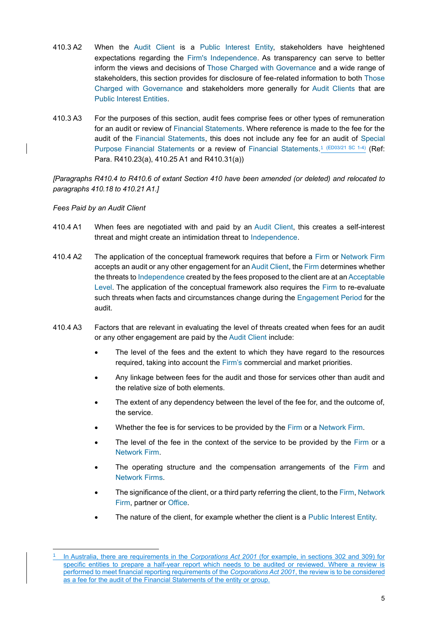- 410.3 A2 When the Audit Client is a Public Interest Entity, stakeholders have heightened expectations regarding the Firm's Independence. As transparency can serve to better inform the views and decisions of Those Charged with Governance and a wide range of stakeholders, this section provides for disclosure of fee-related information to both Those Charged with Governance and stakeholders more generally for Audit Clients that are Public Interest Entities.
- 410.3 A3 For the purposes of this section, audit fees comprise fees or other types of remuneration for an audit or review of Financial Statements. Where reference is made to the fee for the audit of the Financial Statements, this does not include any fee for an audit of Special Purpose Financial Statements or a review of Financial Statements.<sup>1</sup> (ED03/21 SC 1-4) (Ref: Para. R410.23(a), 410.25 A1 and R410.31(a))

*[Paragraphs R410.4 to R410.6 of extant Section 410 have been amended (or deleted) and relocated to paragraphs 410.18 to 410.21 A1.]*

*Fees Paid by an Audit Client*

- 410.4 A1 When fees are negotiated with and paid by an Audit Client, this creates a self-interest threat and might create an intimidation threat to Independence.
- 410.4 A2 The application of the conceptual framework requires that before a Firm or Network Firm accepts an audit or any other engagement for an Audit Client, the Firm determines whether the threats to Independence created by the fees proposed to the client are at an Acceptable Level. The application of the conceptual framework also requires the Firm to re-evaluate such threats when facts and circumstances change during the Engagement Period for the audit.
- 410.4 A3 Factors that are relevant in evaluating the level of threats created when fees for an audit or any other engagement are paid by the Audit Client include:
	- The level of the fees and the extent to which they have regard to the resources required, taking into account the Firm's commercial and market priorities.
	- Any linkage between fees for the audit and those for services other than audit and the relative size of both elements.
	- The extent of any dependency between the level of the fee for, and the outcome of, the service.
	- Whether the fee is for services to be provided by the Firm or a Network Firm.
	- The level of the fee in the context of the service to be provided by the Firm or a Network Firm.
	- The operating structure and the compensation arrangements of the Firm and Network Firms.
	- The significance of the client, or a third party referring the client, to the Firm, Network Firm, partner or Office.
	- The nature of the client, for example whether the client is a Public Interest Entity.

<sup>1</sup> In Australia, there are requirements in the *Corporations Act 2001* (for example, in sections 302 and 309) for specific entities to prepare a half-year report which needs to be audited or reviewed. Where a review is performed to meet financial reporting requirements of the *Corporations Act 2001*, the review is to be considered as a fee for the audit of the Financial Statements of the entity or group.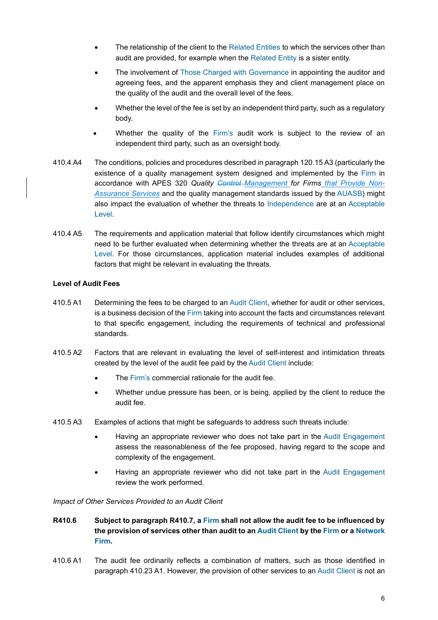- The relationship of the client to the Related Entities to which the services other than audit are provided, for example when the Related Entity is a sister entity.
- The involvement of Those Charged with Governance in appointing the auditor and agreeing fees, and the apparent emphasis they and client management place on the quality of the audit and the overall level of the fees.
- Whether the level of the fee is set by an independent third party, such as a regulatory body.
- Whether the quality of the Firm's audit work is subject to the review of an independent third party, such as an oversight body.
- 410.4 A4 The conditions, policies and procedures described in paragraph 120.15 A3 (particularly the existence of a quality management system designed and implemented by the Firm in accordance with APES 320 *Quality Control Management for Firms that Provide Non-Assurance Services* and the quality management standards issued by the AUASB) might also impact the evaluation of whether the threats to Independence are at an Acceptable Level.
- 410.4 A5 The requirements and application material that follow identify circumstances which might need to be further evaluated when determining whether the threats are at an Acceptable Level. For those circumstances, application material includes examples of additional factors that might be relevant in evaluating the threats.

#### **Level of Audit Fees**

- 410.5 A1 Determining the fees to be charged to an Audit Client, whether for audit or other services, is a business decision of the Firm taking into account the facts and circumstances relevant to that specific engagement, including the requirements of technical and professional standards.
- 410.5 A2 Factors that are relevant in evaluating the level of self-interest and intimidation threats created by the level of the audit fee paid by the Audit Client include:
	- The Firm's commercial rationale for the audit fee.
	- Whether undue pressure has been, or is being, applied by the client to reduce the audit fee.
- 410.5 A3 Examples of actions that might be safeguards to address such threats include:
	- Having an appropriate reviewer who does not take part in the Audit Engagement assess the reasonableness of the fee proposed, having regard to the scope and complexity of the engagement.
	- Having an appropriate reviewer who did not take part in the Audit Engagement review the work performed.

*Impact of Other Services Provided to an Audit Client* 

- **R410.6 Subject to paragraph R410.7, a Firm shall not allow the audit fee to be influenced by the provision of services other than audit to an Audit Client by the Firm or a Network Firm.**
- 410.6 A1 The audit fee ordinarily reflects a combination of matters, such as those identified in paragraph 410.23 A1. However, the provision of other services to an Audit Client is not an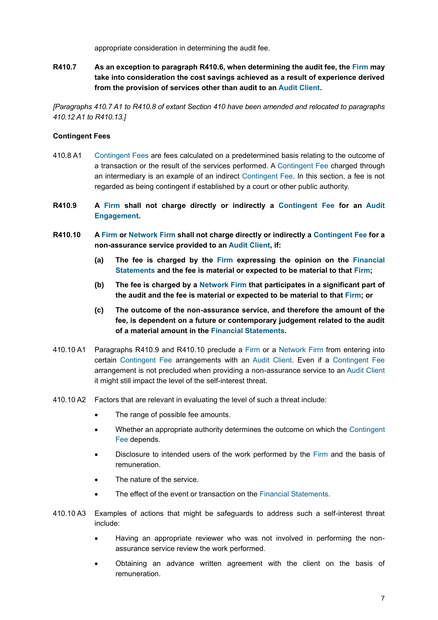appropriate consideration in determining the audit fee.

**R410.7 As an exception to paragraph R410.6, when determining the audit fee, the Firm may take into consideration the cost savings achieved as a result of experience derived from the provision of services other than audit to an Audit Client.**

*[Paragraphs 410.7 A1 to R410.8 of extant Section 410 have been amended and relocated to paragraphs 410.12 A1 to R410.13.]*

#### **Contingent Fees**

- 410.8 A1 Contingent Fees are fees calculated on a predetermined basis relating to the outcome of a transaction or the result of the services performed. A Contingent Fee charged through an intermediary is an example of an indirect Contingent Fee. In this section, a fee is not regarded as being contingent if established by a court or other public authority.
- **R410.9 A Firm shall not charge directly or indirectly a Contingent Fee for an Audit Engagement.**
- **R410.10 A Firm or Network Firm shall not charge directly or indirectly a Contingent Fee for a non-assurance service provided to an Audit Client, if:**
	- **(a) The fee is charged by the Firm expressing the opinion on the Financial Statements and the fee is material or expected to be material to that Firm;**
	- **(b) The fee is charged by a Network Firm that participates in a significant part of the audit and the fee is material or expected to be material to that Firm; or**
	- **(c) The outcome of the non-assurance service, and therefore the amount of the fee, is dependent on a future or contemporary judgement related to the audit of a material amount in the Financial Statements.**
- 410.10 A1 Paragraphs R410.9 and R410.10 preclude a Firm or a Network Firm from entering into certain Contingent Fee arrangements with an Audit Client. Even if a Contingent Fee arrangement is not precluded when providing a non-assurance service to an Audit Client it might still impact the level of the self-interest threat.
- 410.10 A2 Factors that are relevant in evaluating the level of such a threat include:
	- The range of possible fee amounts.
	- Whether an appropriate authority determines the outcome on which the Contingent Fee depends.
	- Disclosure to intended users of the work performed by the Firm and the basis of remuneration.
	- The nature of the service.
	- The effect of the event or transaction on the Financial Statements.
- 410.10 A3 Examples of actions that might be safeguards to address such a self-interest threat include:
	- Having an appropriate reviewer who was not involved in performing the nonassurance service review the work performed.
	- Obtaining an advance written agreement with the client on the basis of remuneration.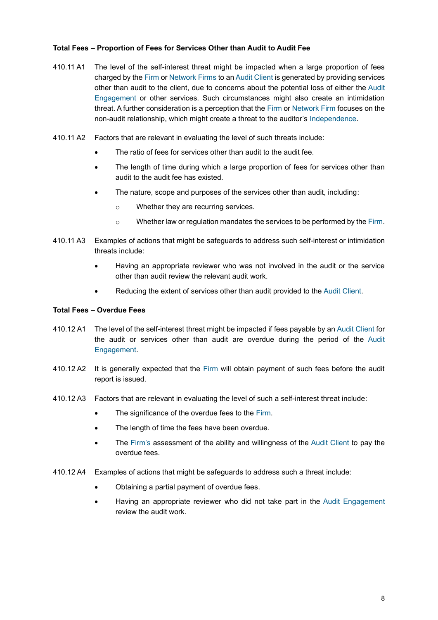#### **Total Fees – Proportion of Fees for Services Other than Audit to Audit Fee**

- 410.11 A1 The level of the self-interest threat might be impacted when a large proportion of fees charged by the Firm or Network Firms to an Audit Client is generated by providing services other than audit to the client, due to concerns about the potential loss of either the Audit Engagement or other services. Such circumstances might also create an intimidation threat. A further consideration is a perception that the Firm or Network Firm focuses on the non-audit relationship, which might create a threat to the auditor's Independence.
- 410.11 A2 Factors that are relevant in evaluating the level of such threats include:
	- The ratio of fees for services other than audit to the audit fee.
	- The length of time during which a large proportion of fees for services other than audit to the audit fee has existed.
	- The nature, scope and purposes of the services other than audit, including:
		- o Whether they are recurring services.
		- o Whether law or regulation mandates the services to be performed by the Firm.
- 410.11 A3 Examples of actions that might be safeguards to address such self-interest or intimidation threats include:
	- Having an appropriate reviewer who was not involved in the audit or the service other than audit review the relevant audit work.
	- Reducing the extent of services other than audit provided to the Audit Client.

#### **Total Fees – Overdue Fees**

- 410.12 A1 The level of the self-interest threat might be impacted if fees payable by an Audit Client for the audit or services other than audit are overdue during the period of the Audit Engagement.
- 410.12 A2 It is generally expected that the Firm will obtain payment of such fees before the audit report is issued.
- 410.12 A3 Factors that are relevant in evaluating the level of such a self-interest threat include:
	- The significance of the overdue fees to the Firm.
	- The length of time the fees have been overdue.
	- The Firm's assessment of the ability and willingness of the Audit Client to pay the overdue fees.
- 410.12 A4 Examples of actions that might be safeguards to address such a threat include:
	- Obtaining a partial payment of overdue fees.
	- Having an appropriate reviewer who did not take part in the Audit Engagement review the audit work.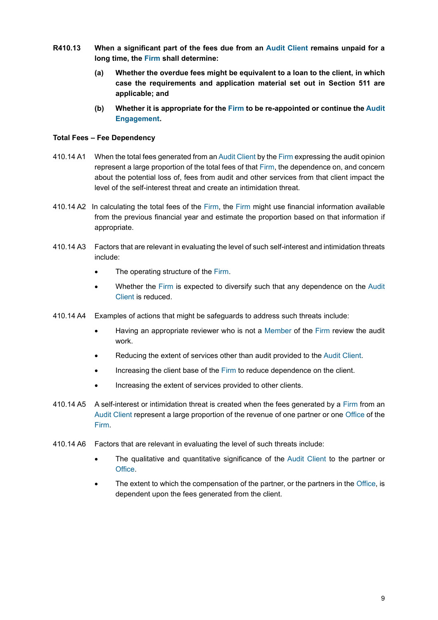- **R410.13 When a significant part of the fees due from an Audit Client remains unpaid for a long time, the Firm shall determine:**
	- **(a) Whether the overdue fees might be equivalent to a loan to the client, in which case the requirements and application material set out in Section 511 are applicable; and**
	- **(b) Whether it is appropriate for the Firm to be re-appointed or continue the Audit Engagement.**

#### **Total Fees – Fee Dependency**

- 410.14 A1 When the total fees generated from an Audit Client by the Firm expressing the audit opinion represent a large proportion of the total fees of that Firm, the dependence on, and concern about the potential loss of, fees from audit and other services from that client impact the level of the self-interest threat and create an intimidation threat.
- 410.14 A2 In calculating the total fees of the Firm, the Firm might use financial information available from the previous financial year and estimate the proportion based on that information if appropriate.
- 410.14 A3 Factors that are relevant in evaluating the level of such self-interest and intimidation threats include:
	- The operating structure of the Firm.
	- Whether the Firm is expected to diversify such that any dependence on the Audit Client is reduced.
- 410.14 A4 Examples of actions that might be safeguards to address such threats include:
	- Having an appropriate reviewer who is not a Member of the Firm review the audit work.
	- Reducing the extent of services other than audit provided to the Audit Client.
	- Increasing the client base of the Firm to reduce dependence on the client.
	- Increasing the extent of services provided to other clients.
- 410.14 A5 A self-interest or intimidation threat is created when the fees generated by a Firm from an Audit Client represent a large proportion of the revenue of one partner or one Office of the Firm.
- 410.14 A6 Factors that are relevant in evaluating the level of such threats include:
	- The qualitative and quantitative significance of the Audit Client to the partner or Office.
	- The extent to which the compensation of the partner, or the partners in the Office, is dependent upon the fees generated from the client.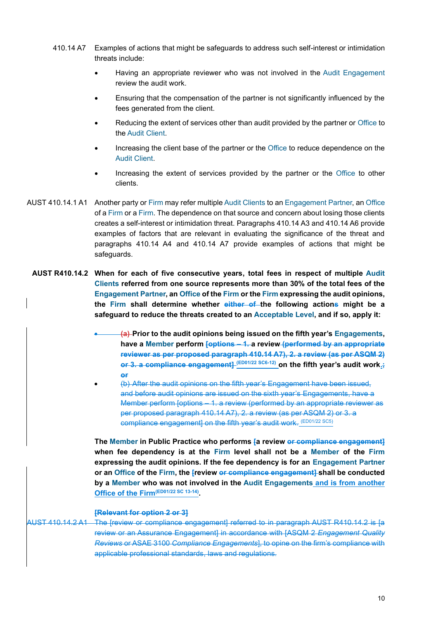- 410.14 A7 Examples of actions that might be safeguards to address such self-interest or intimidation threats include:
	- Having an appropriate reviewer who was not involved in the Audit Engagement review the audit work.
	- Ensuring that the compensation of the partner is not significantly influenced by the fees generated from the client.
	- Reducing the extent of services other than audit provided by the partner or Office to the Audit Client.
	- Increasing the client base of the partner or the Office to reduce dependence on the Audit Client.
	- Increasing the extent of services provided by the partner or the Office to other clients.
- AUST 410.14.1 A1 Another party or Firm may refer multiple Audit Clients to an Engagement Partner, an Office of a Firm or a Firm. The dependence on that source and concern about losing those clients creates a self-interest or intimidation threat. Paragraphs 410.14 A3 and 410.14 A6 provide examples of factors that are relevant in evaluating the significance of the threat and paragraphs 410.14 A4 and 410.14 A7 provide examples of actions that might be safeguards.
	- **AUST R410.14.2 When for each of five consecutive years, total fees in respect of multiple Audit Clients referred from one source represents more than 30% of the total fees of the Engagement Partner, an Office of the Firm or the Firm expressing the audit opinions, the Firm shall determine whether either of the following actions might be a safeguard to reduce the threats created to an Acceptable Level, and if so, apply it:**
		- **(a) Prior to the audit opinions being issued on the fifth year's Engagements, have a Member perform [options – 1. a review (performed by an appropriate reviewer as per proposed paragraph 410.14 A7), 2. a review (as per ASQM 2) or 3. a compliance engagement] (ED01/22 SC6-12) on the fifth year's audit work.; or**
		- (b) After the audit opinions on the fifth year's Engagement have been issued, and before audit opinions are issued on the sixth year's Engagements, have a Member perform [options – 1. a review (performed by an appropriate reviewer as per proposed paragraph 410.14 A7), 2. a review (as per ASQM 2) or 3. a compliance engagement] on the fifth year's audit work. (ED01/22 SC5)

**The Member in Public Practice who performs [a review or compliance engagement] when fee dependency is at the Firm level shall not be a Member of the Firm expressing the audit opinions. If the fee dependency is for an Engagement Partner or an Office of the Firm, the [review or compliance engagement] shall be conducted by a Member who was not involved in the Audit Engagements and is from another Office of the Firm(ED01/22 SC 13-14) .**

#### **[Relevant for option 2 or 3]**

# AUST 410.14.2 A1 The [review or compliance engagement] referred to in paragraph AUST R410.14.2 is [a review or an Assurance Engagement] in accordance with [ASQM 2 *Engagement Quality Reviews* or ASAE 3100 *Compliance Engagements*], to opine on the firm's compliance with applicable professional standards, laws and regulations.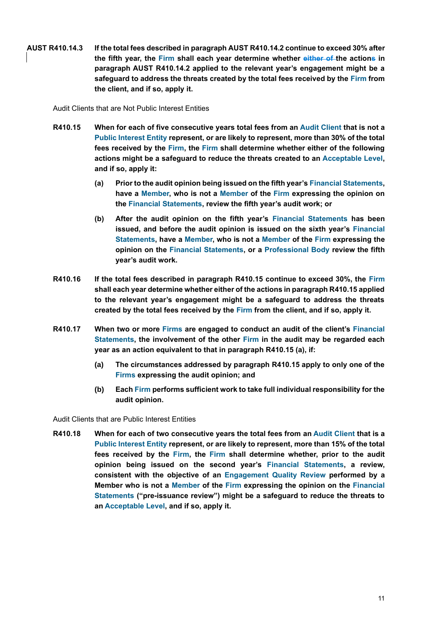**AUST R410.14.3 If the total fees described in paragraph AUST R410.14.2 continue to exceed 30% after the fifth year, the Firm shall each year determine whether either of the actions in paragraph AUST R410.14.2 applied to the relevant year's engagement might be a safeguard to address the threats created by the total fees received by the Firm from the client, and if so, apply it.**

Audit Clients that are Not Public Interest Entities

- **R410.15 When for each of five consecutive years total fees from an Audit Client that is not a Public Interest Entity represent, or are likely to represent, more than 30% of the total fees received by the Firm, the Firm shall determine whether either of the following actions might be a safeguard to reduce the threats created to an Acceptable Level, and if so, apply it:**
	- **(a) Prior to the audit opinion being issued on the fifth year's Financial Statements, have a Member, who is not a Member of the Firm expressing the opinion on the Financial Statements, review the fifth year's audit work; or**
	- **(b) After the audit opinion on the fifth year's Financial Statements has been issued, and before the audit opinion is issued on the sixth year's Financial Statements, have a Member, who is not a Member of the Firm expressing the opinion on the Financial Statements, or a Professional Body review the fifth year's audit work.**
- **R410.16 If the total fees described in paragraph R410.15 continue to exceed 30%, the Firm shall each year determine whether either of the actions in paragraph R410.15 applied to the relevant year's engagement might be a safeguard to address the threats created by the total fees received by the Firm from the client, and if so, apply it.**
- **R410.17 When two or more Firms are engaged to conduct an audit of the client's Financial Statements, the involvement of the other Firm in the audit may be regarded each year as an action equivalent to that in paragraph R410.15 (a), if:**
	- **(a) The circumstances addressed by paragraph R410.15 apply to only one of the Firms expressing the audit opinion; and**
	- **(b) Each Firm performs sufficient work to take full individual responsibility for the audit opinion.**

Audit Clients that are Public Interest Entities

**R410.18 When for each of two consecutive years the total fees from an Audit Client that is a Public Interest Entity represent, or are likely to represent, more than 15% of the total fees received by the Firm, the Firm shall determine whether, prior to the audit opinion being issued on the second year's Financial Statements, a review, consistent with the objective of an Engagement Quality Review performed by a Member who is not a Member of the Firm expressing the opinion on the Financial Statements ("pre-issuance review") might be a safeguard to reduce the threats to an Acceptable Level, and if so, apply it.**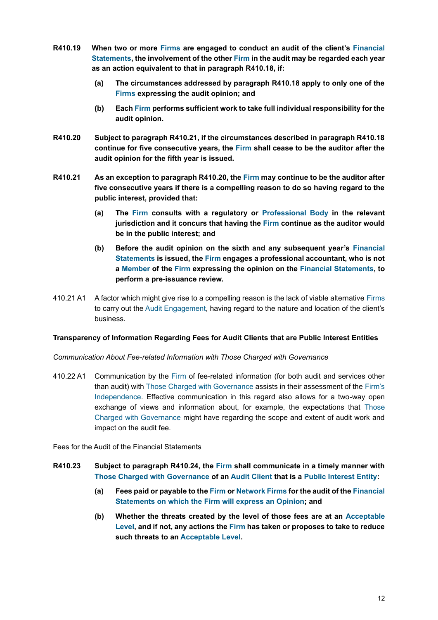- **R410.19 When two or more Firms are engaged to conduct an audit of the client's Financial Statements, the involvement of the other Firm in the audit may be regarded each year as an action equivalent to that in paragraph R410.18, if:**
	- **(a) The circumstances addressed by paragraph R410.18 apply to only one of the Firms expressing the audit opinion; and**
	- **(b) Each Firm performs sufficient work to take full individual responsibility for the audit opinion.**
- **R410.20 Subject to paragraph R410.21, if the circumstances described in paragraph R410.18 continue for five consecutive years, the Firm shall cease to be the auditor after the audit opinion for the fifth year is issued.**
- **R410.21 As an exception to paragraph R410.20, the Firm may continue to be the auditor after five consecutive years if there is a compelling reason to do so having regard to the public interest, provided that:**
	- **(a) The Firm consults with a regulatory or Professional Body in the relevant jurisdiction and it concurs that having the Firm continue as the auditor would be in the public interest; and**
	- **(b) Before the audit opinion on the sixth and any subsequent year's Financial Statements is issued, the Firm engages a professional accountant, who is not a Member of the Firm expressing the opinion on the Financial Statements, to perform a pre-issuance review.**
- 410.21 A1 A factor which might give rise to a compelling reason is the lack of viable alternative Firms to carry out the Audit Engagement, having regard to the nature and location of the client's business.

#### **Transparency of Information Regarding Fees for Audit Clients that are Public Interest Entities**

#### *Communication About Fee-related Information with Those Charged with Governance*

410.22 A1 Communication by the Firm of fee-related information (for both audit and services other than audit) with Those Charged with Governance assists in their assessment of the Firm's Independence. Effective communication in this regard also allows for a two-way open exchange of views and information about, for example, the expectations that Those Charged with Governance might have regarding the scope and extent of audit work and impact on the audit fee.

Fees for the Audit of the Financial Statements

- **R410.23 Subject to paragraph R410.24, the Firm shall communicate in a timely manner with Those Charged with Governance of an Audit Client that is a Public Interest Entity:**
	- **(a) Fees paid or payable to the Firm or Network Firms for the audit of the Financial Statements on which the Firm will express an Opinion; and**
	- **(b) Whether the threats created by the level of those fees are at an Acceptable Level, and if not, any actions the Firm has taken or proposes to take to reduce such threats to an Acceptable Level.**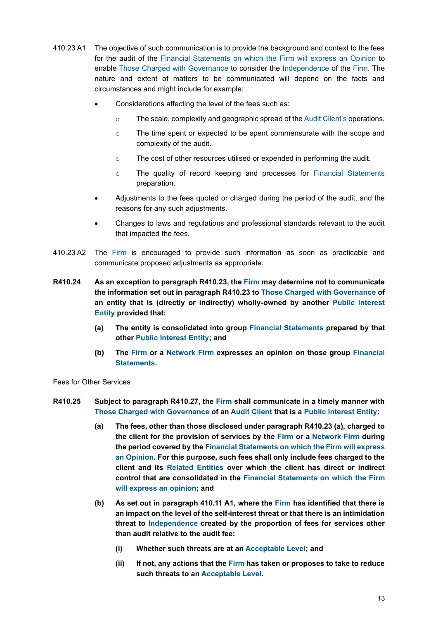- 410.23 A1 The objective of such communication is to provide the background and context to the fees for the audit of the Financial Statements on which the Firm will express an Opinion to enable Those Charged with Governance to consider the Independence of the Firm. The nature and extent of matters to be communicated will depend on the facts and circumstances and might include for example:
	- Considerations affecting the level of the fees such as:
		- o The scale, complexity and geographic spread of the Audit Client's operations.
		- $\circ$  The time spent or expected to be spent commensurate with the scope and complexity of the audit.
		- o The cost of other resources utilised or expended in performing the audit.
		- o The quality of record keeping and processes for Financial Statements preparation.
	- Adjustments to the fees quoted or charged during the period of the audit, and the reasons for any such adjustments.
	- Changes to laws and regulations and professional standards relevant to the audit that impacted the fees.
- 410.23 A2 The Firm is encouraged to provide such information as soon as practicable and communicate proposed adjustments as appropriate.
- **R410.24 As an exception to paragraph R410.23, the Firm may determine not to communicate the information set out in paragraph R410.23 to Those Charged with Governance of an entity that is (directly or indirectly) wholly-owned by another Public Interest Entity provided that:**
	- **(a) The entity is consolidated into group Financial Statements prepared by that other Public Interest Entity; and**
	- **(b) The Firm or a Network Firm expresses an opinion on those group Financial Statements.**

Fees for Other Services

- **R410.25 Subject to paragraph R410.27, the Firm shall communicate in a timely manner with Those Charged with Governance of an Audit Client that is a Public Interest Entity:**
	- **(a) The fees, other than those disclosed under paragraph R410.23 (a), charged to the client for the provision of services by the Firm or a Network Firm during the period covered by the Financial Statements on which the Firm will express an Opinion. For this purpose, such fees shall only include fees charged to the client and its Related Entities over which the client has direct or indirect control that are consolidated in the Financial Statements on which the Firm will express an opinion; and**
	- **(b) As set out in paragraph 410.11 A1, where the Firm has identified that there is an impact on the level of the self-interest threat or that there is an intimidation threat to Independence created by the proportion of fees for services other than audit relative to the audit fee:**
		- **(i) Whether such threats are at an Acceptable Level; and**
		- **(ii) If not, any actions that the Firm has taken or proposes to take to reduce such threats to an Acceptable Level.**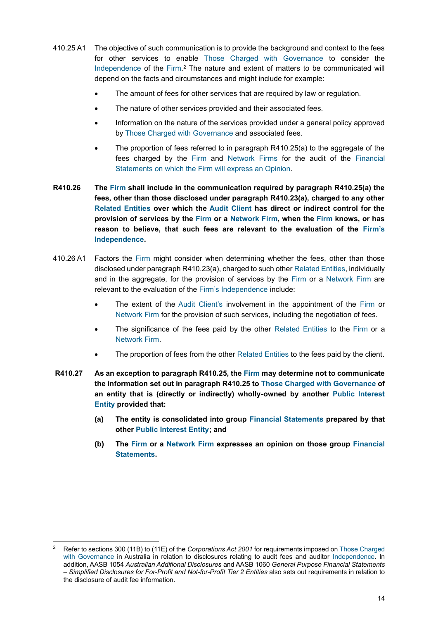- 410.25 A1 The objective of such communication is to provide the background and context to the fees for other services to enable Those Charged with Governance to consider the Independence of the Firm.<sup>2</sup> The nature and extent of matters to be communicated will depend on the facts and circumstances and might include for example:
	- The amount of fees for other services that are required by law or regulation.
	- The nature of other services provided and their associated fees.
	- Information on the nature of the services provided under a general policy approved by Those Charged with Governance and associated fees.
	- The proportion of fees referred to in paragraph R410.25(a) to the aggregate of the fees charged by the Firm and Network Firms for the audit of the Financial Statements on which the Firm will express an Opinion.
- **R410.26 The Firm shall include in the communication required by paragraph R410.25(a) the fees, other than those disclosed under paragraph R410.23(a), charged to any other Related Entities over which the Audit Client has direct or indirect control for the provision of services by the Firm or a Network Firm, when the Firm knows, or has reason to believe, that such fees are relevant to the evaluation of the Firm's Independence.**
- 410.26 A1 Factors the Firm might consider when determining whether the fees, other than those disclosed under paragraph R410.23(a), charged to such other Related Entities, individually and in the aggregate, for the provision of services by the Firm or a Network Firm are relevant to the evaluation of the Firm's Independence include:
	- The extent of the Audit Client's involvement in the appointment of the Firm or Network Firm for the provision of such services, including the negotiation of fees.
	- The significance of the fees paid by the other Related Entities to the Firm or a Network Firm.
	- The proportion of fees from the other Related Entities to the fees paid by the client.
- **R410.27 As an exception to paragraph R410.25, the Firm may determine not to communicate the information set out in paragraph R410.25 to Those Charged with Governance of an entity that is (directly or indirectly) wholly-owned by another Public Interest Entity provided that:**
	- **(a) The entity is consolidated into group Financial Statements prepared by that other Public Interest Entity; and**
	- **(b) The Firm or a Network Firm expresses an opinion on those group Financial Statements.**

<sup>2</sup> Refer to sections 300 (11B) to (11E) of the *Corporations Act 2001* for requirements imposed on Those Charged with Governance in Australia in relation to disclosures relating to audit fees and auditor Independence. In addition, AASB 1054 *Australian Additional Disclosures* and AASB 1060 *General Purpose Financial Statements – Simplified Disclosures for For-Profit and Not-for-Profit Tier 2 Entities* also sets out requirements in relation to the disclosure of audit fee information.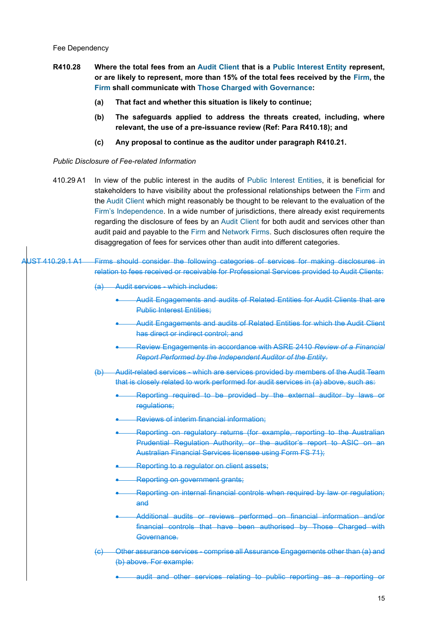- **R410.28 Where the total fees from an Audit Client that is a Public Interest Entity represent, or are likely to represent, more than 15% of the total fees received by the Firm, the Firm shall communicate with Those Charged with Governance:**
	- **(a) That fact and whether this situation is likely to continue;**
	- **(b) The safeguards applied to address the threats created, including, where relevant, the use of a pre-issuance review (Ref: Para R410.18); and**
	- **(c) Any proposal to continue as the auditor under paragraph R410.21.**

#### *Public Disclosure of Fee-related Information*

- 410.29 A1 In view of the public interest in the audits of Public Interest Entities, it is beneficial for stakeholders to have visibility about the professional relationships between the Firm and the Audit Client which might reasonably be thought to be relevant to the evaluation of the Firm's Independence. In a wide number of jurisdictions, there already exist requirements regarding the disclosure of fees by an Audit Client for both audit and services other than audit paid and payable to the Firm and Network Firms. Such disclosures often require the disaggregation of fees for services other than audit into different categories.
- JST 410.29.1 A1 Firms should consider the following categories of services for making disclosures in relation to fees received or receivable for Professional Services provided to Audit Clients:
	- (a) Audit services which includes:
		- Audit Engagements and audits of Related Entities for Audit Clients that are Public Interest Entities;
		- Audit Engagements and audits of Related Entities for which the Audit Client has direct or indirect control; and
		- Review Engagements in accordance with ASRE 2410 *Review of a Financial Report Performed by the Independent Auditor of the Entity*.
	- (b) Audit-related services which are services provided by members of the Audit Team that is closely related to work performed for audit services in (a) above, such as:
		- Reporting required to be provided by the external auditor by laws or regulations;
		- Reviews of interim financial information;
		- Reporting on regulatory returns (for example, reporting to the Australian Prudential Regulation Authority, or the auditor's report to ASIC on an Australian Financial Services licensee using Form FS 71);
		- Reporting to a regulator on client assets;
		- Reporting on government grants;
		- Reporting on internal financial controls when required by law or regulation; and
		- Additional audits or reviews performed on financial information and/or financial controls that have been authorised by Those Charged with Governance.
	- Other assurance services comprise all Assurance Engagements other than (a) and (b) above. For example:
		- audit and other services relating to public reporting as a reporting or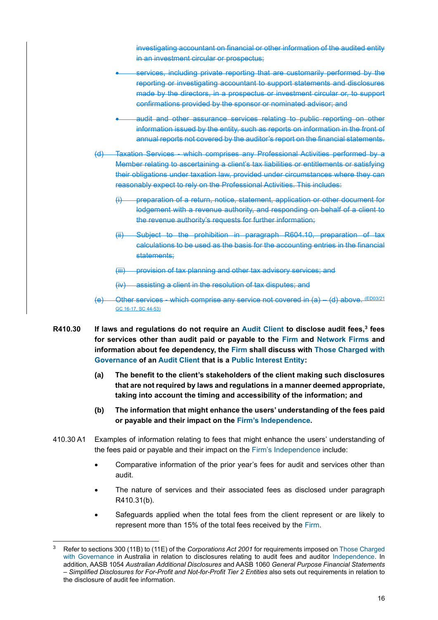investigating accountant on financial or other information of the audited entity in an investment circular or prospectus;

- services, including private reporting that are customarily performed by the reporting or investigating accountant to support statements and disclosures made by the directors, in a prospectus or investment circular or, to support confirmations provided by the sponsor or nominated advisor; and
- audit and other assurance services relating to public reporting on other information issued by the entity, such as reports on information in the front of annual reports not covered by the auditor's report on the financial statements.
- Taxation Services which comprises any Professional Activities performed by a Member relating to ascertaining a client's tax liabilities or entitlements or satisfying their obligations under taxation law, provided under circumstances where they can reasonably expect to rely on the Professional Activities. This includes:
	- (i) preparation of a return, notice, statement, application or other document for lodgement with a revenue authority, and responding on behalf of a client to the revenue authority's requests for further information;
	- (ii) Subject to the prohibition in paragraph R604.10, preparation of tax calculations to be used as the basis for the accounting entries in the financial statements;
	- (iii) provision of tax planning and other tax advisory services; and

(iv) assisting a client in the resolution of tax disputes; and

- Other services which comprise any service not covered in  $(a) (d)$  above. (ED03/21) GC 16-17, SC 44-53)
- **R410.30 If laws and regulations do not require an Audit Client to disclose audit fees,<sup>3</sup> fees for services other than audit paid or payable to the Firm and Network Firms and information about fee dependency, the Firm shall discuss with Those Charged with Governance of an Audit Client that is a Public Interest Entity:**
	- **(a) The benefit to the client's stakeholders of the client making such disclosures that are not required by laws and regulations in a manner deemed appropriate, taking into account the timing and accessibility of the information; and**
	- **(b) The information that might enhance the users' understanding of the fees paid or payable and their impact on the Firm's Independence.**
- 410.30 A1 Examples of information relating to fees that might enhance the users' understanding of the fees paid or payable and their impact on the Firm's Independence include:
	- Comparative information of the prior year's fees for audit and services other than audit.
	- The nature of services and their associated fees as disclosed under paragraph R410.31(b).
	- Safeguards applied when the total fees from the client represent or are likely to represent more than 15% of the total fees received by the Firm.

<sup>3</sup> Refer to sections 300 (11B) to (11E) of the *Corporations Act 2001* for requirements imposed on Those Charged with Governance in Australia in relation to disclosures relating to audit fees and auditor Independence. In addition, AASB 1054 *Australian Additional Disclosures* and AASB 1060 *General Purpose Financial Statements – Simplified Disclosures for For-Profit and Not-for-Profit Tier 2 Entities* also sets out requirements in relation to the disclosure of audit fee information.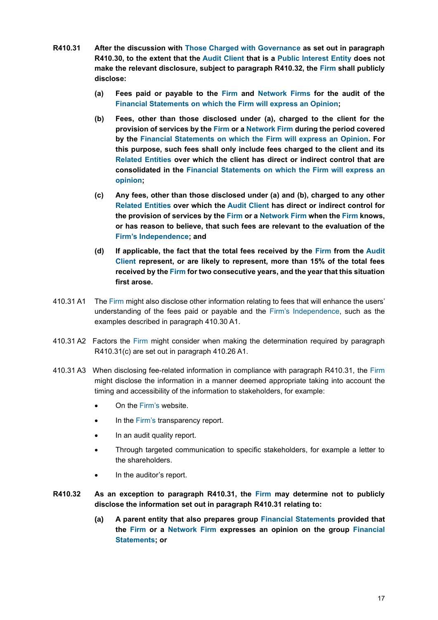- **R410.31 After the discussion with Those Charged with Governance as set out in paragraph R410.30, to the extent that the Audit Client that is a Public Interest Entity does not make the relevant disclosure, subject to paragraph R410.32, the Firm shall publicly disclose:**
	- **(a) Fees paid or payable to the Firm and Network Firms for the audit of the Financial Statements on which the Firm will express an Opinion;**
	- **(b) Fees, other than those disclosed under (a), charged to the client for the provision of services by the Firm or a Network Firm during the period covered by the Financial Statements on which the Firm will express an Opinion. For this purpose, such fees shall only include fees charged to the client and its Related Entities over which the client has direct or indirect control that are consolidated in the Financial Statements on which the Firm will express an opinion;**
	- **(c) Any fees, other than those disclosed under (a) and (b), charged to any other Related Entities over which the Audit Client has direct or indirect control for the provision of services by the Firm or a Network Firm when the Firm knows, or has reason to believe, that such fees are relevant to the evaluation of the Firm's Independence; and**
	- **(d) If applicable, the fact that the total fees received by the Firm from the Audit Client represent, or are likely to represent, more than 15% of the total fees received by the Firm for two consecutive years, and the year that this situation first arose.**
- 410.31 A1 The Firm might also disclose other information relating to fees that will enhance the users' understanding of the fees paid or payable and the Firm's Independence, such as the examples described in paragraph 410.30 A1.
- 410.31 A2 Factors the Firm might consider when making the determination required by paragraph R410.31(c) are set out in paragraph 410.26 A1.
- 410.31 A3 When disclosing fee-related information in compliance with paragraph R410.31, the Firm might disclose the information in a manner deemed appropriate taking into account the timing and accessibility of the information to stakeholders, for example:
	- On the Firm's website.
	- In the Firm's transparency report.
	- In an audit quality report.
	- Through targeted communication to specific stakeholders, for example a letter to the shareholders.
	- In the auditor's report.
- **R410.32 As an exception to paragraph R410.31, the Firm may determine not to publicly disclose the information set out in paragraph R410.31 relating to:**
	- **(a) A parent entity that also prepares group Financial Statements provided that the Firm or a Network Firm expresses an opinion on the group Financial Statements; or**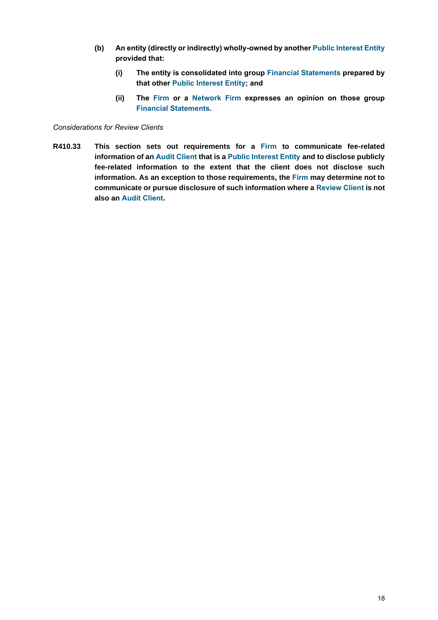- **(b) An entity (directly or indirectly) wholly-owned by another Public Interest Entity provided that:**
	- **(i) The entity is consolidated into group Financial Statements prepared by that other Public Interest Entity; and**
	- **(ii) The Firm or a Network Firm expresses an opinion on those group Financial Statements.**

#### *Considerations for Review Clients*

**R410.33 This section sets out requirements for a Firm to communicate fee-related information of an Audit Client that is a Public Interest Entity and to disclose publicly fee-related information to the extent that the client does not disclose such information. As an exception to those requirements, the Firm may determine not to communicate or pursue disclosure of such information where a Review Client is not also an Audit Client.**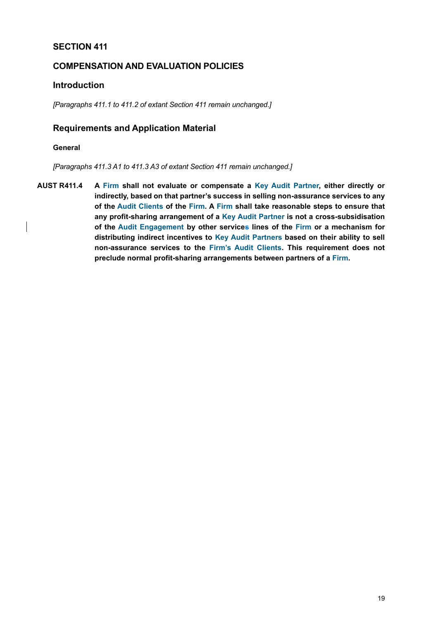# <span id="page-18-0"></span>**SECTION 411**

# **COMPENSATION AND EVALUATION POLICIES**

# **Introduction**

*[Paragraphs 411.1 to 411.2 of extant Section 411 remain unchanged.]*

# **Requirements and Application Material**

#### **General**

*[Paragraphs 411.3 A1 to 411.3 A3 of extant Section 411 remain unchanged.]*

**AUST R411.4 A Firm shall not evaluate or compensate a Key Audit Partner, either directly or indirectly, based on that partner's success in selling non-assurance services to any of the Audit Clients of the Firm. A Firm shall take reasonable steps to ensure that any profit-sharing arrangement of a Key Audit Partner is not a cross-subsidisation of the Audit Engagement by other services lines of the Firm or a mechanism for distributing indirect incentives to Key Audit Partners based on their ability to sell non-assurance services to the Firm's Audit Clients. This requirement does not preclude normal profit-sharing arrangements between partners of a Firm.**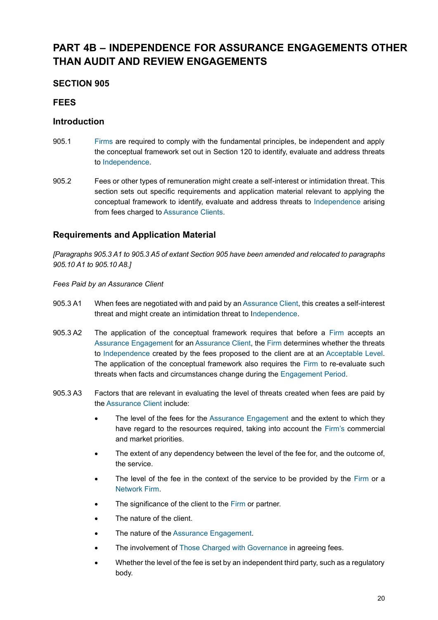# <span id="page-19-0"></span>**PART 4B – INDEPENDENCE FOR ASSURANCE ENGAGEMENTS OTHER THAN AUDIT AND REVIEW ENGAGEMENTS**

# <span id="page-19-1"></span>**SECTION 905**

# **FEES**

# **Introduction**

- 905.1 Firms are required to comply with the fundamental principles, be independent and apply the conceptual framework set out in [Section 120](#page-23-1) to identify, evaluate and address threats to Independence.
- 905.2 Fees or other types of remuneration might create a self-interest or intimidation threat. This section sets out specific requirements and application material relevant to applying the conceptual framework to identify, evaluate and address threats to Independence arising from fees charged to Assurance Clients.

# **Requirements and Application Material**

*[Paragraphs 905.3 A1 to 905.3 A5 of extant Section 905 have been amended and relocated to paragraphs 905.10 A1 to 905.10 A8.]*

#### *Fees Paid by an Assurance Client*

- 905.3 A1 When fees are negotiated with and paid by an Assurance Client, this creates a self-interest threat and might create an intimidation threat to Independence.
- 905.3 A2 The application of the conceptual framework requires that before a Firm accepts an Assurance Engagement for an Assurance Client, the Firm determines whether the threats to Independence created by the fees proposed to the client are at an Acceptable Level. The application of the conceptual framework also requires the Firm to re-evaluate such threats when facts and circumstances change during the Engagement Period.
- 905.3 A3 Factors that are relevant in evaluating the level of threats created when fees are paid by the Assurance Client include:
	- The level of the fees for the Assurance Engagement and the extent to which they have regard to the resources required, taking into account the Firm's commercial and market priorities.
	- The extent of any dependency between the level of the fee for, and the outcome of, the service.
	- The level of the fee in the context of the service to be provided by the Firm or a Network Firm.
	- The significance of the client to the Firm or partner.
	- The nature of the client.
	- The nature of the Assurance Engagement.
	- The involvement of Those Charged with Governance in agreeing fees.
	- Whether the level of the fee is set by an independent third party, such as a regulatory body.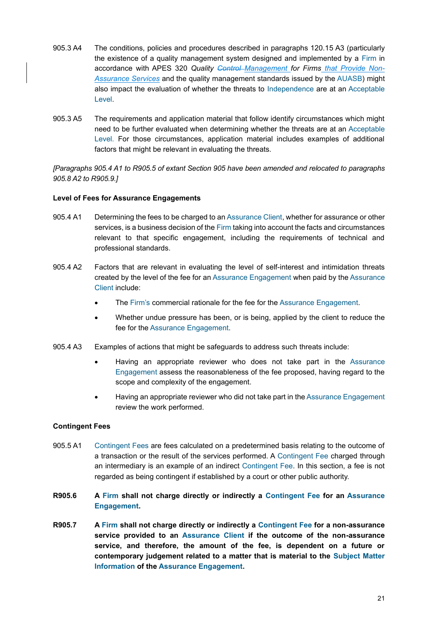- 905.3 A4 The conditions, policies and procedures described in paragraphs 120.15 A3 (particularly the existence of a quality management system designed and implemented by a Firm in accordance with APES 320 *Quality Control Management for Firms that Provide Non-Assurance Services* and the quality management standards issued by the AUASB) might also impact the evaluation of whether the threats to Independence are at an Acceptable Level.
- 905.3 A5 The requirements and application material that follow identify circumstances which might need to be further evaluated when determining whether the threats are at an Acceptable Level. For those circumstances, application material includes examples of additional factors that might be relevant in evaluating the threats.

*[Paragraphs 905.4 A1 to R905.5 of extant Section 905 have been amended and relocated to paragraphs 905.8 A2 to R905.9.]*

#### **Level of Fees for Assurance Engagements**

- 905.4 A1 Determining the fees to be charged to an Assurance Client, whether for assurance or other services, is a business decision of the Firm taking into account the facts and circumstances relevant to that specific engagement, including the requirements of technical and professional standards.
- 905.4 A2 Factors that are relevant in evaluating the level of self-interest and intimidation threats created by the level of the fee for an Assurance Engagement when paid by the Assurance Client include:
	- The Firm's commercial rationale for the fee for the Assurance Engagement.
	- Whether undue pressure has been, or is being, applied by the client to reduce the fee for the Assurance Engagement.
- 905.4 A3 Examples of actions that might be safeguards to address such threats include:
	- Having an appropriate reviewer who does not take part in the Assurance Engagement assess the reasonableness of the fee proposed, having regard to the scope and complexity of the engagement.
	- Having an appropriate reviewer who did not take part in the Assurance Engagement review the work performed.

#### **Contingent Fees**

- 905.5 A1 Contingent Fees are fees calculated on a predetermined basis relating to the outcome of a transaction or the result of the services performed. A Contingent Fee charged through an intermediary is an example of an indirect Contingent Fee. In this section, a fee is not regarded as being contingent if established by a court or other public authority.
- **R905.6 A Firm shall not charge directly or indirectly a Contingent Fee for an Assurance Engagement.**
- **R905.7 A Firm shall not charge directly or indirectly a Contingent Fee for a non-assurance service provided to an Assurance Client if the outcome of the non-assurance service, and therefore, the amount of the fee, is dependent on a future or contemporary judgement related to a matter that is material to the Subject Matter Information of the Assurance Engagement.**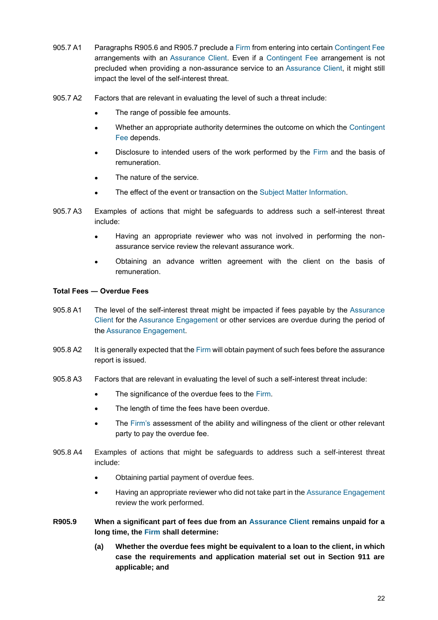- 905.7 A1 Paragraphs R905.6 and R905.7 preclude a Firm from entering into certain Contingent Fee arrangements with an Assurance Client. Even if a Contingent Fee arrangement is not precluded when providing a non-assurance service to an Assurance Client, it might still impact the level of the self-interest threat.
- 905.7 A2 Factors that are relevant in evaluating the level of such a threat include:
	- The range of possible fee amounts.
	- Whether an appropriate authority determines the outcome on which the Contingent Fee depends.
	- Disclosure to intended users of the work performed by the Firm and the basis of remuneration.
	- The nature of the service.
	- The effect of the event or transaction on the Subject Matter Information.
- 905.7 A3 Examples of actions that might be safeguards to address such a self-interest threat include:
	- Having an appropriate reviewer who was not involved in performing the nonassurance service review the relevant assurance work.
	- Obtaining an advance written agreement with the client on the basis of remuneration.

#### **Total Fees ― Overdue Fees**

- 905.8 A1 The level of the self-interest threat might be impacted if fees payable by the Assurance Client for the Assurance Engagement or other services are overdue during the period of the Assurance Engagement.
- 905.8 A2 It is generally expected that the Firm will obtain payment of such fees before the assurance report is issued.
- 905.8 A3 Factors that are relevant in evaluating the level of such a self-interest threat include:
	- The significance of the overdue fees to the Firm.
	- The length of time the fees have been overdue.
	- The Firm's assessment of the ability and willingness of the client or other relevant party to pay the overdue fee.
- 905.8 A4 Examples of actions that might be safeguards to address such a self-interest threat include:
	- Obtaining partial payment of overdue fees.
	- Having an appropriate reviewer who did not take part in the Assurance Engagement review the work performed.
- **R905.9 When a significant part of fees due from an Assurance Client remains unpaid for a long time, the Firm shall determine:**
	- **(a) Whether the overdue fees might be equivalent to a loan to the client, in which case the requirements and application material set out in Section 911 are applicable; and**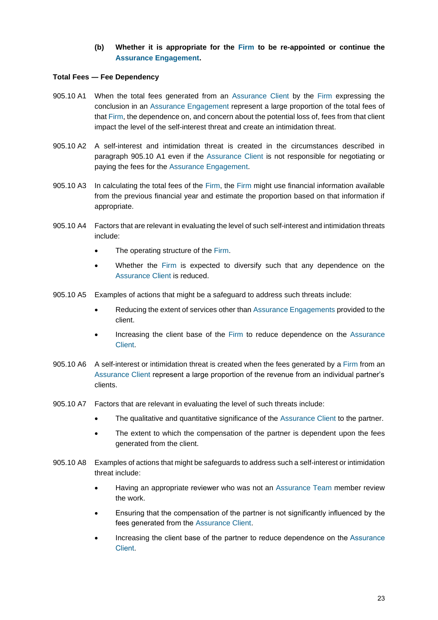#### **(b) Whether it is appropriate for the Firm to be re-appointed or continue the Assurance Engagement.**

#### **Total Fees ― Fee Dependency**

- 905.10 A1 When the total fees generated from an Assurance Client by the Firm expressing the conclusion in an Assurance Engagement represent a large proportion of the total fees of that Firm, the dependence on, and concern about the potential loss of, fees from that client impact the level of the self-interest threat and create an intimidation threat.
- 905.10 A2 A self-interest and intimidation threat is created in the circumstances described in paragraph 905.10 A1 even if the Assurance Client is not responsible for negotiating or paying the fees for the Assurance Engagement.
- 905.10 A3 In calculating the total fees of the Firm, the Firm might use financial information available from the previous financial year and estimate the proportion based on that information if appropriate.
- 905.10 A4 Factors that are relevant in evaluating the level of such self-interest and intimidation threats include:
	- The operating structure of the Firm.
	- Whether the Firm is expected to diversify such that any dependence on the Assurance Client is reduced.
- 905.10 A5 Examples of actions that might be a safeguard to address such threats include:
	- Reducing the extent of services other than Assurance Engagements provided to the client.
	- Increasing the client base of the Firm to reduce dependence on the Assurance Client.
- 905.10 A6 A self-interest or intimidation threat is created when the fees generated by a Firm from an Assurance Client represent a large proportion of the revenue from an individual partner's clients.
- 905.10 A7 Factors that are relevant in evaluating the level of such threats include:
	- The qualitative and quantitative significance of the Assurance Client to the partner.
	- The extent to which the compensation of the partner is dependent upon the fees generated from the client.
- 905.10 A8 Examples of actions that might be safeguards to address such a self-interest or intimidation threat include:
	- Having an appropriate reviewer who was not an Assurance Team member review the work.
	- Ensuring that the compensation of the partner is not significantly influenced by the fees generated from the Assurance Client.
	- Increasing the client base of the partner to reduce dependence on the Assurance Client.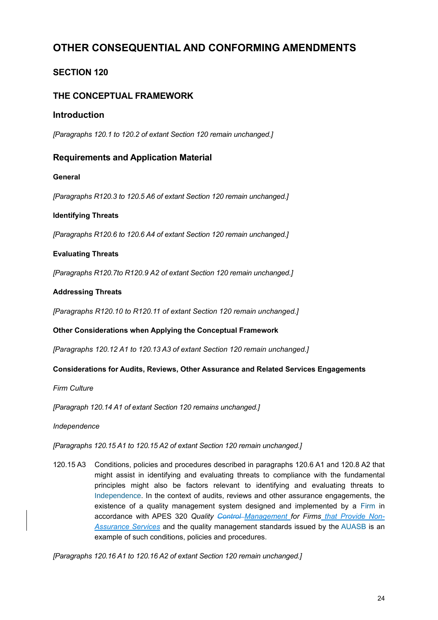# <span id="page-23-0"></span>**OTHER CONSEQUENTIAL AND CONFORMING AMENDMENTS**

# <span id="page-23-1"></span>**SECTION 120**

# **THE CONCEPTUAL FRAMEWORK**

# **Introduction**

*[Paragraphs 120.1 to 120.2 of extant Section 120 remain unchanged.]*

# **Requirements and Application Material**

#### **General**

*[Paragraphs R120.3 to 120.5 A6 of extant Section 120 remain unchanged.]*

#### **Identifying Threats**

*[Paragraphs R120.6 to 120.6 A4 of extant Section 120 remain unchanged.]*

#### **Evaluating Threats**

*[Paragraphs R120.7to R120.9 A2 of extant Section 120 remain unchanged.]*

#### **Addressing Threats**

*[Paragraphs R120.10 to R120.11 of extant Section 120 remain unchanged.]*

#### **Other Considerations when Applying the Conceptual Framework**

*[Paragraphs 120.12 A1 to 120.13 A3 of extant Section 120 remain unchanged.]*

#### **Considerations for Audits, Reviews, Other Assurance and Related Services Engagements**

*Firm Culture*

*[Paragraph 120.14 A1 of extant Section 120 remains unchanged.]*

*Independence*

*[Paragraphs 120.15 A1 to 120.15 A2 of extant Section 120 remain unchanged.]*

120.15 A3 Conditions, policies and procedures described in paragraphs 120.6 A1 and 120.8 A2 that might assist in identifying and evaluating threats to compliance with the fundamental principles might also be factors relevant to identifying and evaluating threats to Independence. In the context of audits, reviews and other assurance engagements, the existence of a quality management system designed and implemented by a Firm in accordance with APES 320 *Quality Control Management for Firms that Provide Non-Assurance Services* and the quality management standards issued by the AUASB is an example of such conditions, policies and procedures.

*[Paragraphs 120.16 A1 to 120.16 A2 of extant Section 120 remain unchanged.]*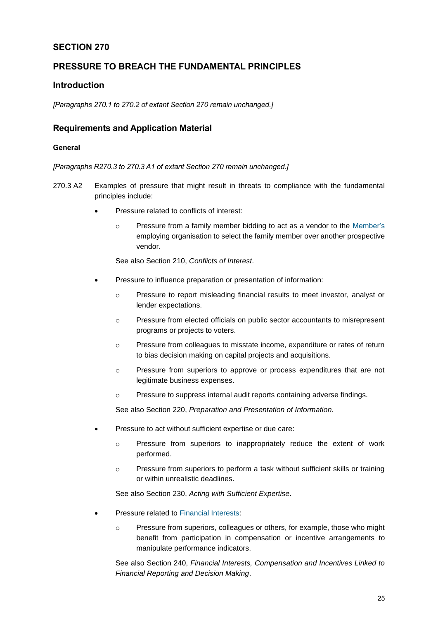# <span id="page-24-0"></span>**SECTION 270**

# **PRESSURE TO BREACH THE FUNDAMENTAL PRINCIPLES**

# **Introduction**

*[Paragraphs 270.1 to 270.2 of extant Section 270 remain unchanged.]*

# **Requirements and Application Material**

#### **General**

*[Paragraphs R270.3 to 270.3 A1 of extant Section 270 remain unchanged.]*

- 270.3 A2 Examples of pressure that might result in threats to compliance with the fundamental principles include:
	- Pressure related to conflicts of interest:
		- $\circ$  Pressure from a family member bidding to act as a vendor to the Member's employing organisation to select the family member over another prospective vendor.

See also Section 210, *Conflicts of Interest*.

- Pressure to influence preparation or presentation of information:
	- o Pressure to report misleading financial results to meet investor, analyst or lender expectations.
	- o Pressure from elected officials on public sector accountants to misrepresent programs or projects to voters.
	- o Pressure from colleagues to misstate income, expenditure or rates of return to bias decision making on capital projects and acquisitions.
	- o Pressure from superiors to approve or process expenditures that are not legitimate business expenses.
	- o Pressure to suppress internal audit reports containing adverse findings.

See also Section 220, *Preparation and Presentation of Information*.

- Pressure to act without sufficient expertise or due care:
	- o Pressure from superiors to inappropriately reduce the extent of work performed.
	- o Pressure from superiors to perform a task without sufficient skills or training or within unrealistic deadlines.

See also Section 230, *Acting with Sufficient Expertise*.

- Pressure related to Financial Interests:
	- o Pressure from superiors, colleagues or others, for example, those who might benefit from participation in compensation or incentive arrangements to manipulate performance indicators.

See also Section 240, *Financial Interests, Compensation and Incentives Linked to Financial Reporting and Decision Making*.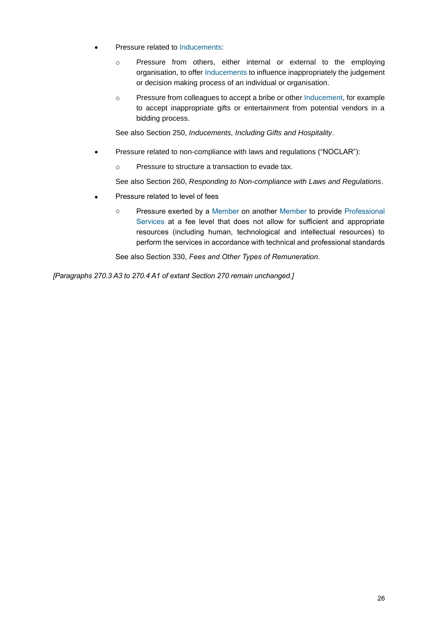- Pressure related to Inducements:
	- o Pressure from others, either internal or external to the employing organisation, to offer Inducements to influence inappropriately the judgement or decision making process of an individual or organisation.
	- o Pressure from colleagues to accept a bribe or other Inducement, for example to accept inappropriate gifts or entertainment from potential vendors in a bidding process.

See also Section 250, *Inducements, Including Gifts and Hospitality*.

- Pressure related to non-compliance with laws and regulations ("NOCLAR"):
	- o Pressure to structure a transaction to evade tax.

See also Section 260, *Responding to Non-compliance with Laws and Regulations*.

- Pressure related to level of fees
	- o Pressure exerted by a Member on another Member to provide Professional Services at a fee level that does not allow for sufficient and appropriate resources (including human, technological and intellectual resources) to perform the services in accordance with technical and professional standards

See also Section 330, *Fees and Other Types of Remuneration.*

<span id="page-25-0"></span>*[Paragraphs 270.3 A3 to 270.4 A1 of extant Section 270 remain unchanged.]*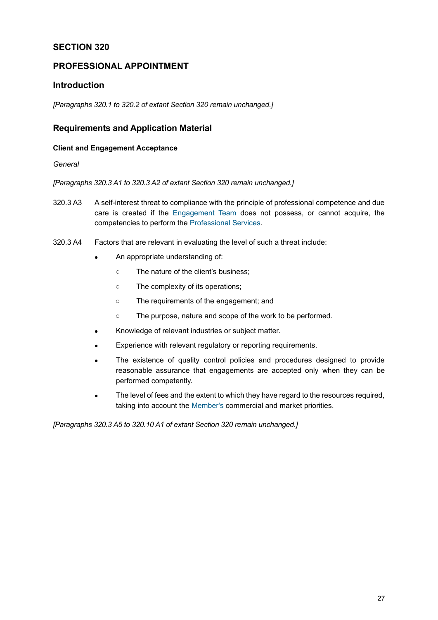# **SECTION 320**

# **PROFESSIONAL APPOINTMENT**

### **Introduction**

*[Paragraphs 320.1 to 320.2 of extant Section 320 remain unchanged.]*

### **Requirements and Application Material**

#### **Client and Engagement Acceptance**

*General*

*[Paragraphs 320.3 A1 to 320.3 A2 of extant Section 320 remain unchanged.]*

- 320.3 A3 A self-interest threat to compliance with the principle of professional competence and due care is created if the Engagement Team does not possess, or cannot acquire, the competencies to perform the Professional Services.
- 320.3 A4 Factors that are relevant in evaluating the level of such a threat include:
	- An appropriate understanding of:
		- The nature of the client's business;
		- The complexity of its operations;
		- The requirements of the engagement; and
		- The purpose, nature and scope of the work to be performed.
	- Knowledge of relevant industries or subject matter.
	- Experience with relevant regulatory or reporting requirements.
	- The existence of quality control policies and procedures designed to provide reasonable assurance that engagements are accepted only when they can be performed competently.
	- The level of fees and the extent to which they have regard to the resources required, taking into account the Member's commercial and market priorities.

*[Paragraphs 320.3 A5 to 320.10 A1 of extant Section 320 remain unchanged.]*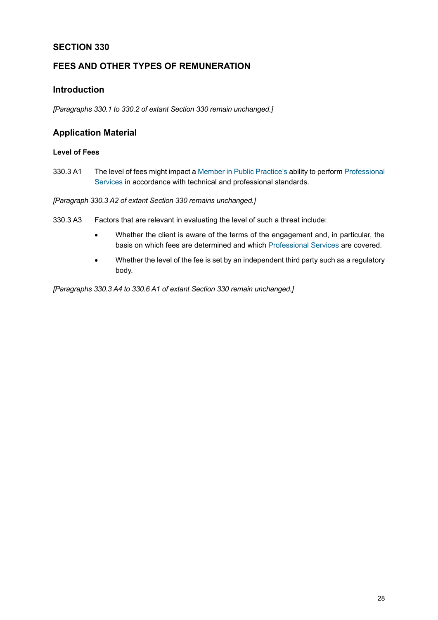# <span id="page-27-0"></span>**SECTION 330**

# **FEES AND OTHER TYPES OF REMUNERATION**

# **Introduction**

*[Paragraphs 330.1 to 330.2 of extant Section 330 remain unchanged.]*

# **Application Material**

#### **Level of Fees**

330.3 A1 The level of fees might impact a Member in Public Practice's ability to perform Professional Services in accordance with technical and professional standards.

*[Paragraph 330.3 A2 of extant Section 330 remains unchanged.]*

- 330.3 A3 Factors that are relevant in evaluating the level of such a threat include:
	- Whether the client is aware of the terms of the engagement and, in particular, the basis on which fees are determined and which Professional Services are covered.
	- Whether the level of the fee is set by an independent third party such as a regulatory body.

*[Paragraphs 330.3 A4 to 330.6 A1 of extant Section 330 remain unchanged.]*